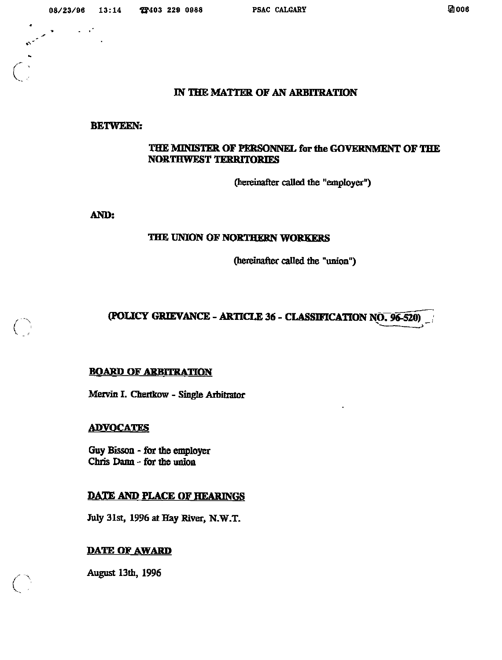$\sim 10^{-11}$  and  $\sim 10^{-11}$ 

#### IN THE MATTER OF AN ARBITRATION

#### **BETWEEN:**

# THE MINISTER OF PERSONNEL for the GOVERNMENT OF THE **NORTHWEST TERRITORIES**

(hereinafter called the "employer")

AND:

# THE UNION OF NORTHERN WORKERS

(hereinafter called the "union")

# (POLICY GRIEVANCE - ARTICLE 36 - CLASSIFICATION NO. 96-520)

#### **BOARD OF ARBITRATION**

Mervin I. Chertkow - Single Arbitrator

#### **ADVOCATES**

Guy Bisson - for the employer Chris Dann - for the union

## **DATE AND PLACE OF HEARINGS**

July 31st, 1996 at Hay River, N.W.T.

## **DATE OF AWARD**

**August 13th, 1996**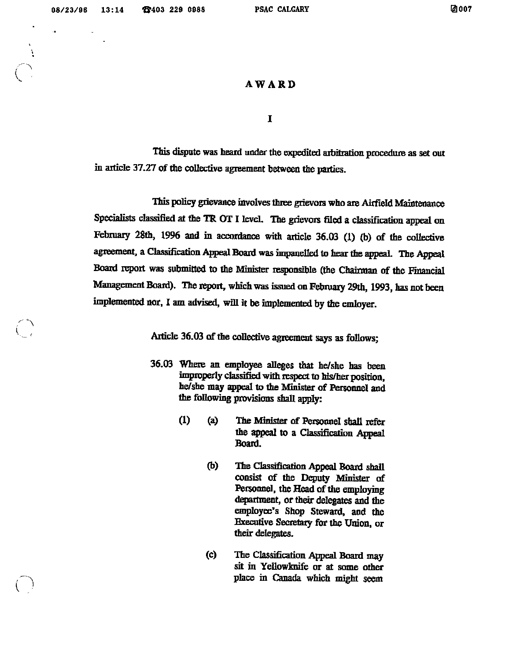$\checkmark$ 

I

## AWARD

 $\mathbf I$ 

This dispute was heard under the expedited arbitration procedure as set out in article 37.27 of the collective agreement between the parties.

This policy grievance involves three grievors who are Airfield Maintenance Specialists classified at the TR OT I leveL The grievors filed a classification appeal on February 28th, 1996 and in accordance with article 36.03 (1) (b) of the collective agreement, a Classification Appeal Board was impanelled to hear the appeal. The Appeal Board report was submitted to the Minister responsible (the Chairman of the Financial Management Board). The report, which was issued on February 29th, 1993, has not been implemented nor, 1am advised, will it be implemented by the emloyer.

Article 36.03 of the collective agreement says as follows;

- 36.03 Where an employee alleges that he/she has been improperly classified with respect to his/her position, he/she may appeal to the Minister of Personnel and the following provisions shall apply:
	- (1) (a) The Minister of Personnel shall refer the appeal to a Classification Appeal Board.
		- (b) The Classification Appeal Board shall consist of the Deputy Minister of Persoonel, the Head of the employing department, or their delegates and the employee's Shop Steward, and the Executive Secretary for the Union, or their delegates.
		- (c) The Classification Appeal Board may sit in Yellowknife or at some other place in Canada which might seem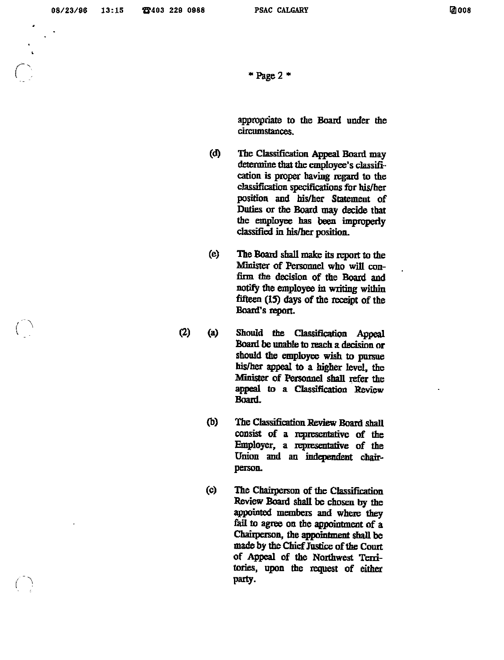$r \sim$ I

 $*$  Page 2  $*$ 

appropriate to the Board under the circumstances.

- (d) The Classification Appeal Board may determine that the employee's classification is proper having regard to the classification specifications for his/her position and his/her Statement of Duties or the Board may decide that the employee has been improperly classified in his/her position.
- (e) The Board shall make its report to the Minister of Personnel who will confirm the decision of the Board and notify the employee in writing within fifteen (15) days of the receipt of the Board's report.
- (2) (a) Should the Classification Appeal Board be unable to reach a decision or should the employee wish to pursue his/her appeal to a higher level, the Minister of Personnel shall refer the appeal to a Classification Review Board.
	- (b) The Classification Review Board shall consist of a representative of the Employer, a representative of the Union and an independent chairperson.
- (c) The Chairperson of the Classification Review Board shall be chosen by the appointed members and where they fail to agree on the appointment of a Chairperson, the appointment shall be made by the Chief Justice of the Court of Appeal of the Northwest Territories, upon the request of either  $\overline{f}$  and  $\overline{f}$  are party.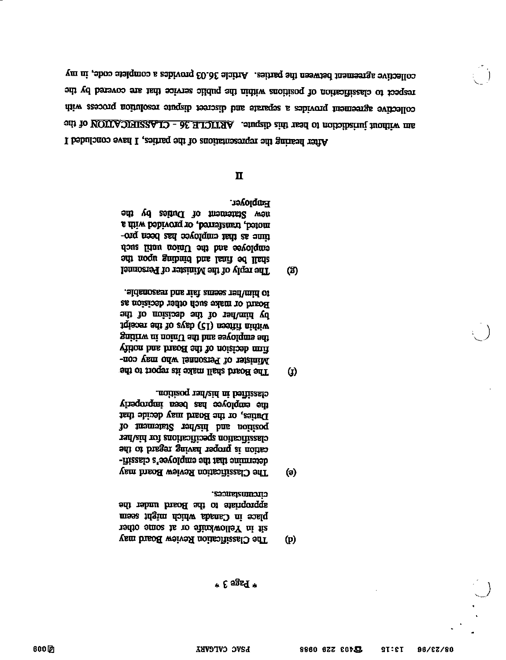- cnentures. appropriate to the Board under the place in Canada which might seem sit in Yellowknife or at some other The Classification Review Board may  $(p)$
- classified in his/her position. the employee has been improperly Duties, or the Board may decide that To imamstar rad aid bus notized ranvarion specifications for his/her and of brager anived regord at notice determine that the employee's classifi-The Classification Review Board may
- to him/her seems fair and reasonable. Board or make such other decision as by him/her of the decision of the iqisosi adi to zvab (21) nositifi nidiiw gnitirw ni noinU and has asyolqma ant Time decision of the Board and notify Minister of Personnel who may con-The Board shall make its report to the
- **Employer.** adi vel Simentan of Duties by the a chica, transferred, or provided with a time as that employee has been poemployee and the Union until such shall be final and binding upon the The reply of the Minister of Personnel

## $\mathbf{\Pi}$

(ව)

 $\bf{Q}$ 

 $\Theta$ 

collective agreement between the parties. Article 36.03 provides a complete code, in my off yd barsvos ena tadi saivres cilduq adi niditw anolitanq to notiscitizado of the collective agreement provides a separate and discreet disquite resolution process with ant do MOILA JIHI22A.LO - 3E HIQITHA. Angure. And the set of the contract of the After hearing the representations of the parties, I have concluded I